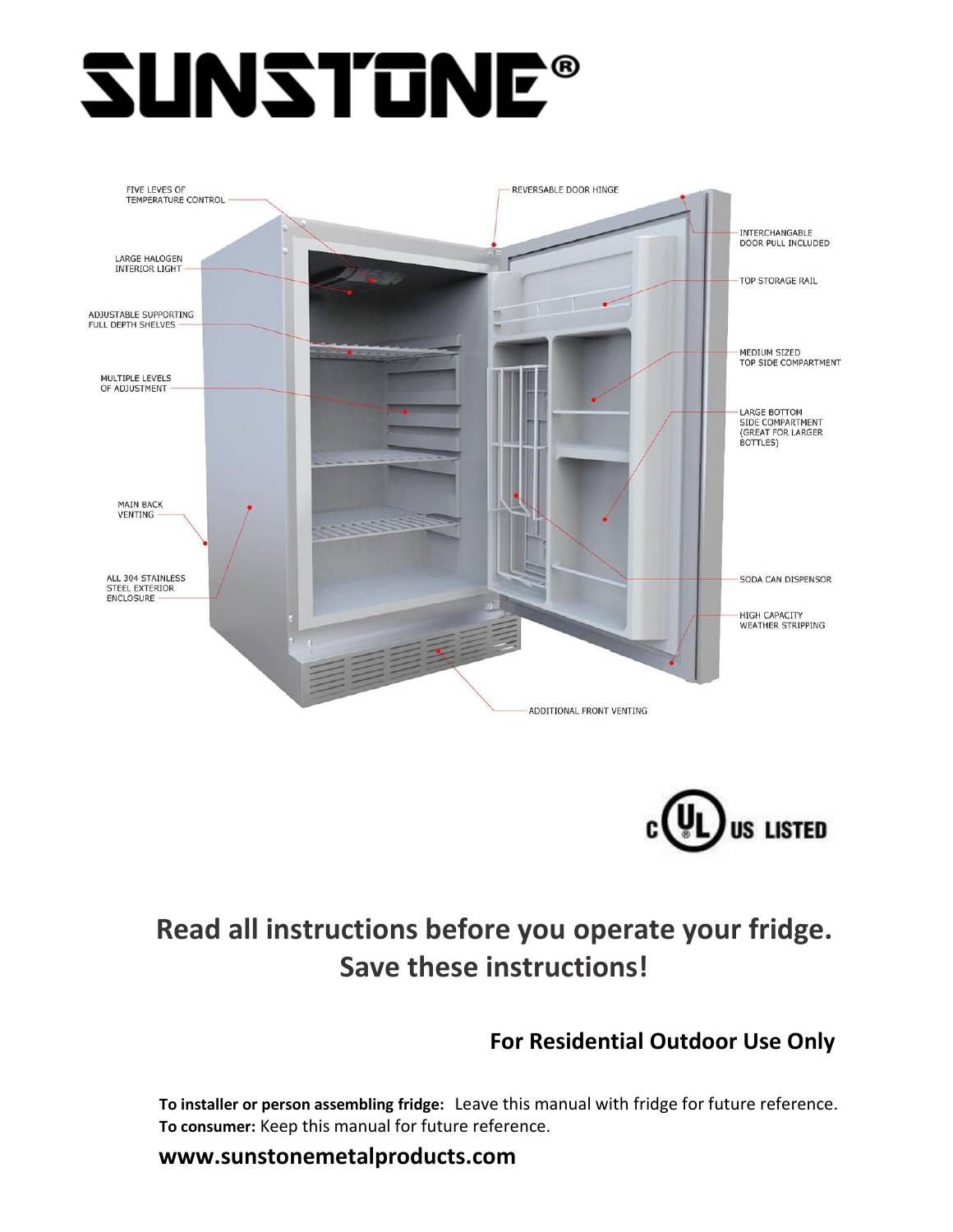# **SUNSTONE®**





# **Read all instructions before you operate your fridge. Save these instructions!**

# **For Residential Outdoor Use Only**

**To installer or person assembling fridge:** Leave this manual with fridge for future reference. **To consumer:** Keep this manual for future reference.

**www.sunstonemetalproducts.com**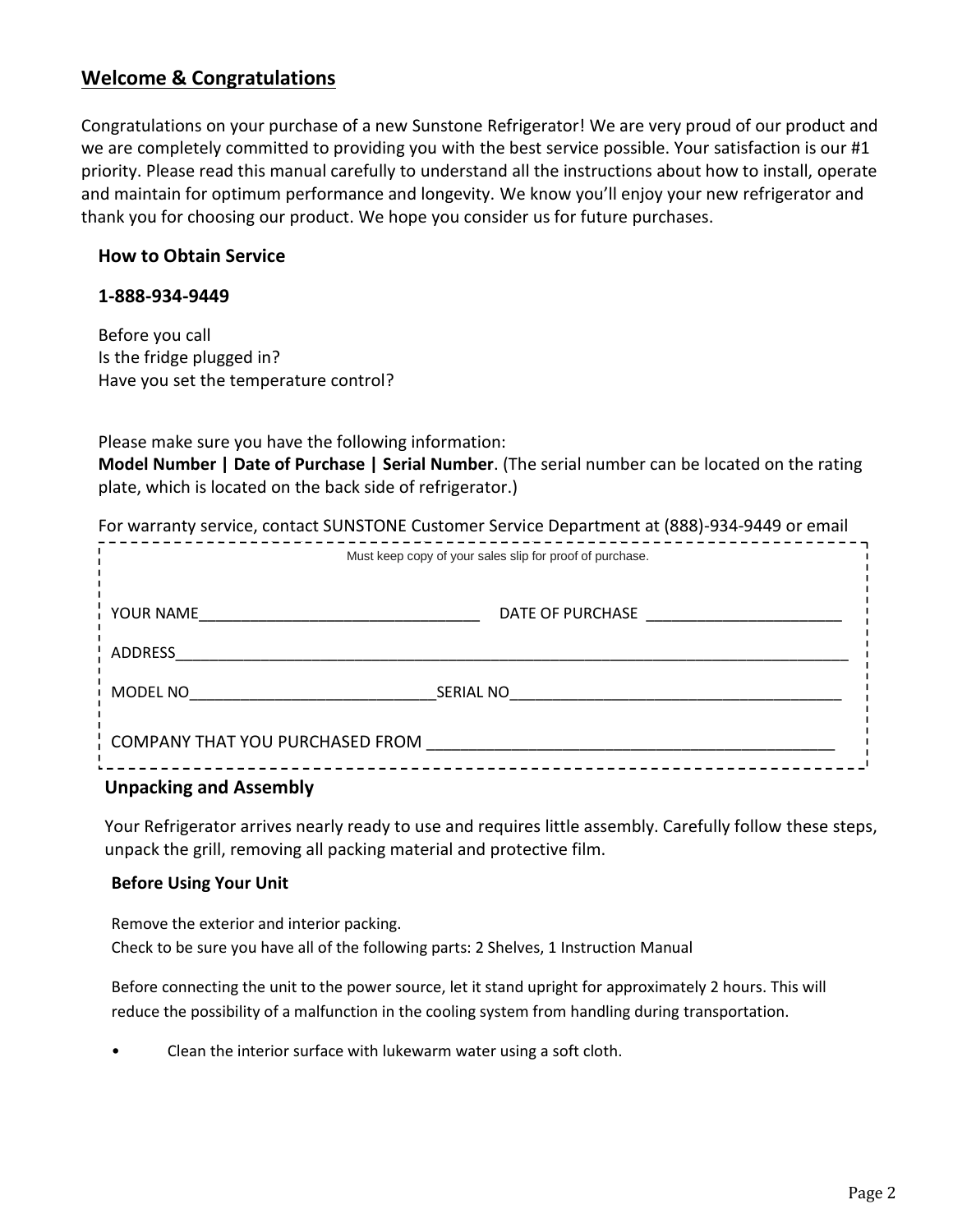# **Welcome & Congratulations**

Congratulations on your purchase of a new Sunstone Refrigerator! We are very proud of our product and we are completely committed to providing you with the best service possible. Your satisfaction is our #1 priority. Please read this manual carefully to understand all the instructions about how to install, operate and maintain for optimum performance and longevity. We know you'll enjoy your new refrigerator and thank you for choosing our product. We hope you consider us for future purchases.

#### **How to Obtain Service**

#### **1-888-934-9449**

Before you call Is the fridge plugged in? Have you set the temperature control?

Please make sure you have the following information:

**Model Number | Date of Purchase | Serial Number**. (The serial number can be located on the rating plate, which is located on the back side of refrigerator.)

|                                 | For warranty service, contact SUNSTONE Customer Service Department at (888)-934-9449 or email |
|---------------------------------|-----------------------------------------------------------------------------------------------|
|                                 | Must keep copy of your sales slip for proof of purchase.                                      |
| YOUR NAME                       | DATE OF PURCHASE                                                                              |
| ADDRESS                         |                                                                                               |
| MODEL NO                        | <b>SERIAL NO</b>                                                                              |
| COMPANY THAT YOU PURCHASED FROM |                                                                                               |

#### **Unpacking and Assembly**

Your Refrigerator arrives nearly ready to use and requires little assembly. Carefully follow these steps, unpack the grill, removing all packing material and protective film.

#### **Before Using Your Unit**

Remove the exterior and interior packing. Check to be sure you have all of the following parts: 2 Shelves, 1 Instruction Manual

Before connecting the unit to the power source, let it stand upright for approximately 2 hours. This will reduce the possibility of a malfunction in the cooling system from handling during transportation.

• Clean the interior surface with lukewarm water using a soft cloth.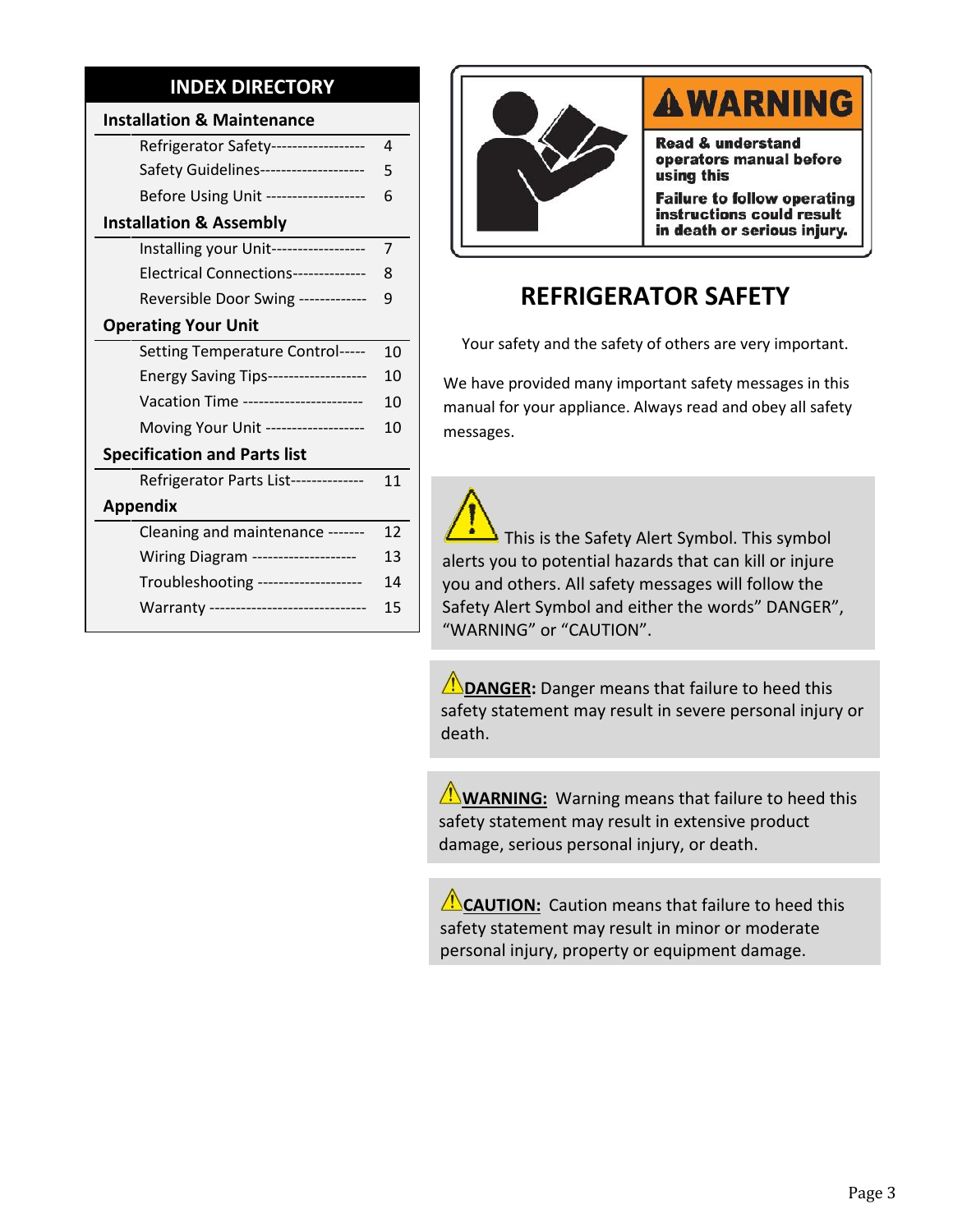# **INDEX DIRECTORY**

| <b>Installation &amp; Maintenance</b>   |    |     |
|-----------------------------------------|----|-----|
| Refrigerator Safety------------------   | 4  |     |
| Safety Guidelines--------------------   | 5  |     |
| Before Using Unit ------------------    | 6  |     |
| <b>Installation &amp; Assembly</b>      |    |     |
| Installing your Unit-----------------   | 7  |     |
| Electrical Connections--------------    | 8  |     |
| Reversible Door Swing ------------      | 9  |     |
| <b>Operating Your Unit</b>              |    |     |
| Setting Temperature Control-----        | 10 |     |
| Energy Saving Tips-------------------   | 10 | We  |
| Vacation Time ----------------------    | 10 | ma  |
| Moving Your Unit ------------------     | 10 | me  |
| <b>Specification and Parts list</b>     |    |     |
| Refrigerator Parts List--------------   | 11 |     |
| <b>Appendix</b>                         |    |     |
| Cleaning and maintenance -------        | 12 |     |
| Wiring Diagram --------------------     | 13 | ale |
| Troubleshooting --------------------    | 14 | yo  |
| Warranty ------------------------------ | 15 | Saf |
|                                         |    | "W  |



# **AWARNING**

**Read & understand** operators manual before using this

**Failure to follow operating** instructions could result in death or serious injury.

# **REFRIGERATOR SAFETY**

Your safety and the safety of others are very important.

We have provided many important safety messages in this manual for your appliance. Always read and obey all safety messages.

15 Safety Alert Symbol and either the words" DANGER", This is the Safety Alert Symbol. This symbol alerts you to potential hazards that can kill or injure you and others. All safety messages will follow the "WARNING" or "CAUTION".

> **ANDANGER:** Danger means that failure to heed this safety statement may result in severe personal injury or death.

**WARNING:** Warning means that failure to heed this safety statement may result in extensive product damage, serious personal injury, or death.

**CAUTION:** Caution means that failure to heed this safety statement may result in minor or moderate personal injury, property or equipment damage.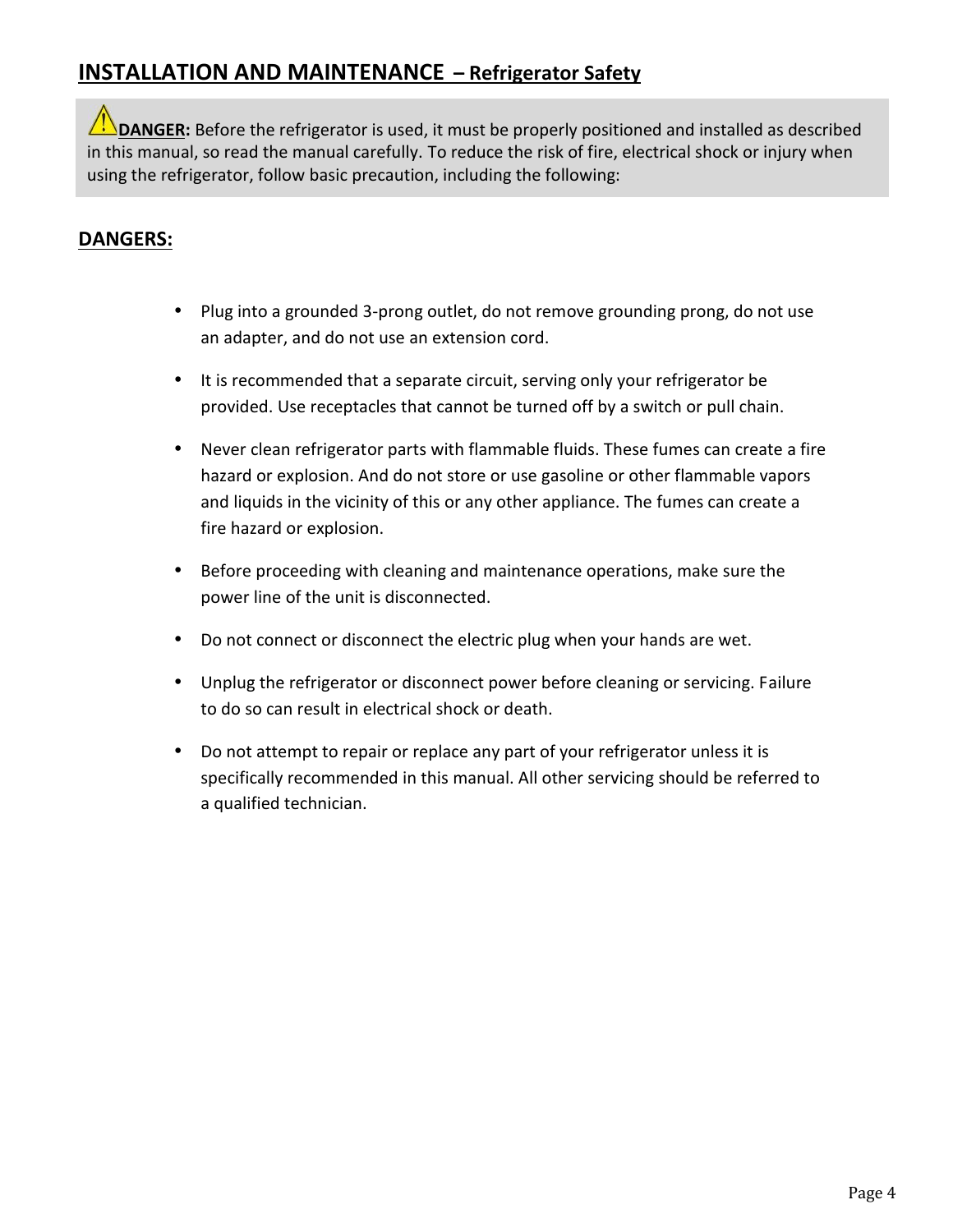# **INSTALLATION AND MAINTENANCE – Refrigerator Safety**

**IN** DANGER: Before the refrigerator is used, it must be properly positioned and installed as described in this manual, so read the manual carefully. To reduce the risk of fire, electrical shock or injury when using the refrigerator, follow basic precaution, including the following:

# **DANGERS:**

- Plug into a grounded 3-prong outlet, do not remove grounding prong, do not use an adapter, and do not use an extension cord.
- It is recommended that a separate circuit, serving only your refrigerator be provided. Use receptacles that cannot be turned off by a switch or pull chain.
- Never clean refrigerator parts with flammable fluids. These fumes can create a fire hazard or explosion. And do not store or use gasoline or other flammable vapors and liquids in the vicinity of this or any other appliance. The fumes can create a fire hazard or explosion.
- Before proceeding with cleaning and maintenance operations, make sure the power line of the unit is disconnected.
- Do not connect or disconnect the electric plug when your hands are wet.
- Unplug the refrigerator or disconnect power before cleaning or servicing. Failure to do so can result in electrical shock or death.
- Do not attempt to repair or replace any part of your refrigerator unless it is specifically recommended in this manual. All other servicing should be referred to a qualified technician.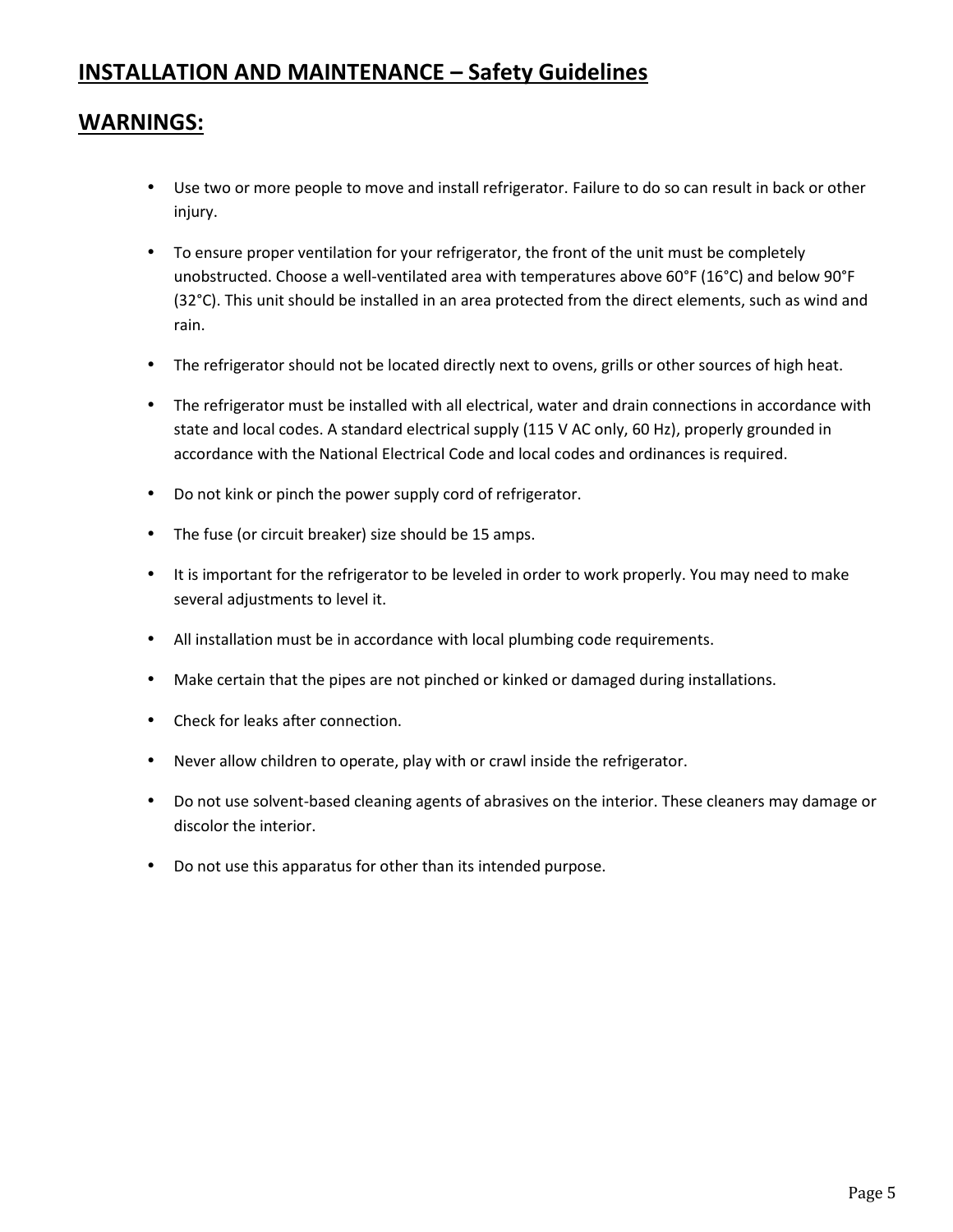# **INSTALLATION AND MAINTENANCE – Safety Guidelines**

# **WARNINGS:**

- Use two or more people to move and install refrigerator. Failure to do so can result in back or other injury.
- To ensure proper ventilation for your refrigerator, the front of the unit must be completely unobstructed. Choose a well-ventilated area with temperatures above 60°F (16°C) and below 90°F (32°C). This unit should be installed in an area protected from the direct elements, such as wind and rain.
- The refrigerator should not be located directly next to ovens, grills or other sources of high heat.
- The refrigerator must be installed with all electrical, water and drain connections in accordance with state and local codes. A standard electrical supply (115 V AC only, 60 Hz), properly grounded in accordance with the National Electrical Code and local codes and ordinances is required.
- Do not kink or pinch the power supply cord of refrigerator.
- The fuse (or circuit breaker) size should be 15 amps.
- It is important for the refrigerator to be leveled in order to work properly. You may need to make several adjustments to level it.
- All installation must be in accordance with local plumbing code requirements.
- Make certain that the pipes are not pinched or kinked or damaged during installations.
- Check for leaks after connection.
- Never allow children to operate, play with or crawl inside the refrigerator.
- Do not use solvent-based cleaning agents of abrasives on the interior. These cleaners may damage or discolor the interior.
- Do not use this apparatus for other than its intended purpose.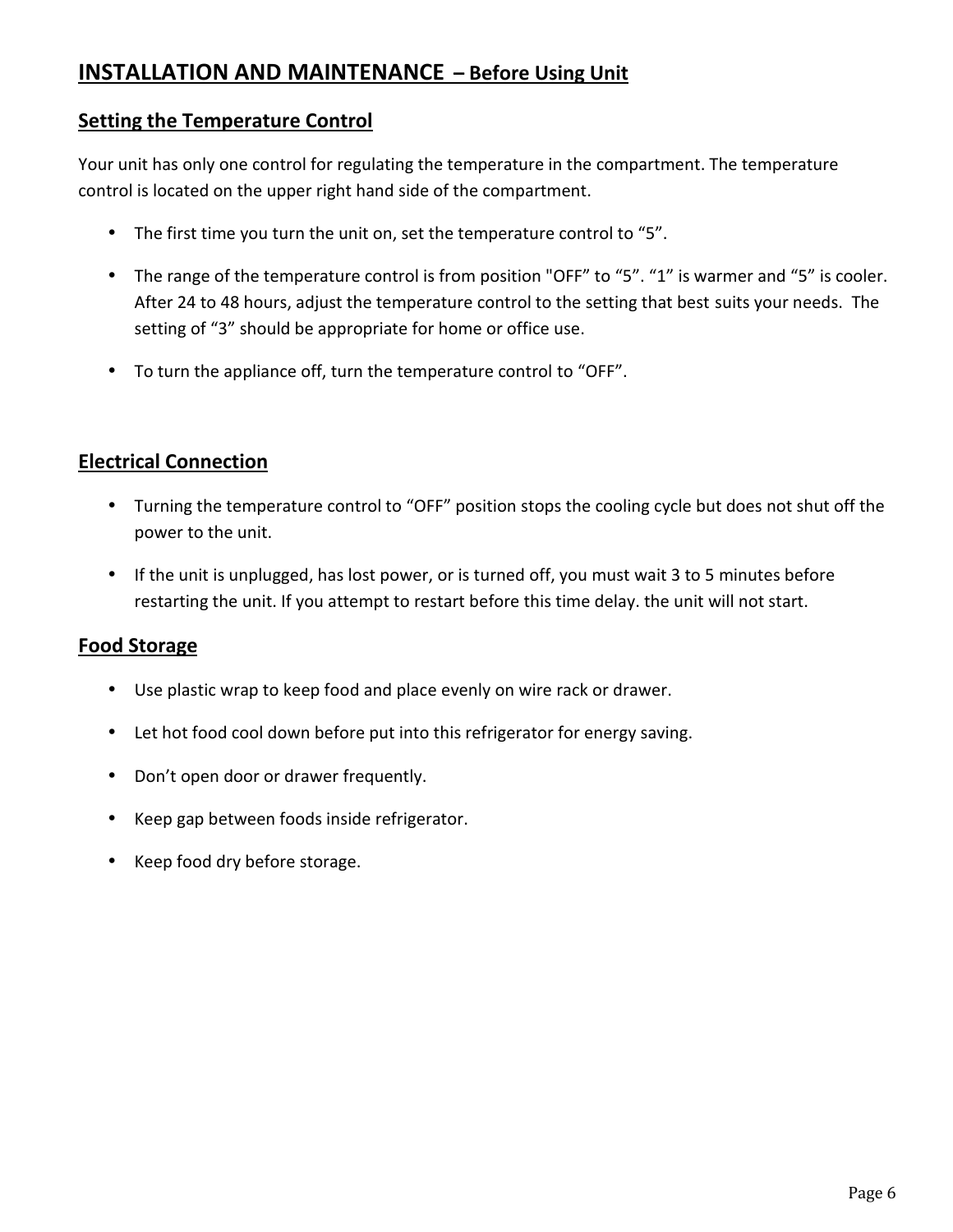# **INSTALLATION AND MAINTENANCE – Before Using Unit**

## **Setting the Temperature Control**

Your unit has only one control for regulating the temperature in the compartment. The temperature control is located on the upper right hand side of the compartment.

- The first time you turn the unit on, set the temperature control to "5".
- The range of the temperature control is from position "OFF" to "5". "1" is warmer and "5" is cooler. After 24 to 48 hours, adjust the temperature control to the setting that best suits your needs. The setting of "3" should be appropriate for home or office use.
- To turn the appliance off, turn the temperature control to "OFF".

# **Electrical Connection**

- Turning the temperature control to "OFF" position stops the cooling cycle but does not shut off the power to the unit.
- If the unit is unplugged, has lost power, or is turned off, you must wait 3 to 5 minutes before restarting the unit. If you attempt to restart before this time delay. the unit will not start.

# **Food Storage**

- Use plastic wrap to keep food and place evenly on wire rack or drawer.
- Let hot food cool down before put into this refrigerator for energy saving.
- Don't open door or drawer frequently.
- Keep gap between foods inside refrigerator.
- Keep food dry before storage.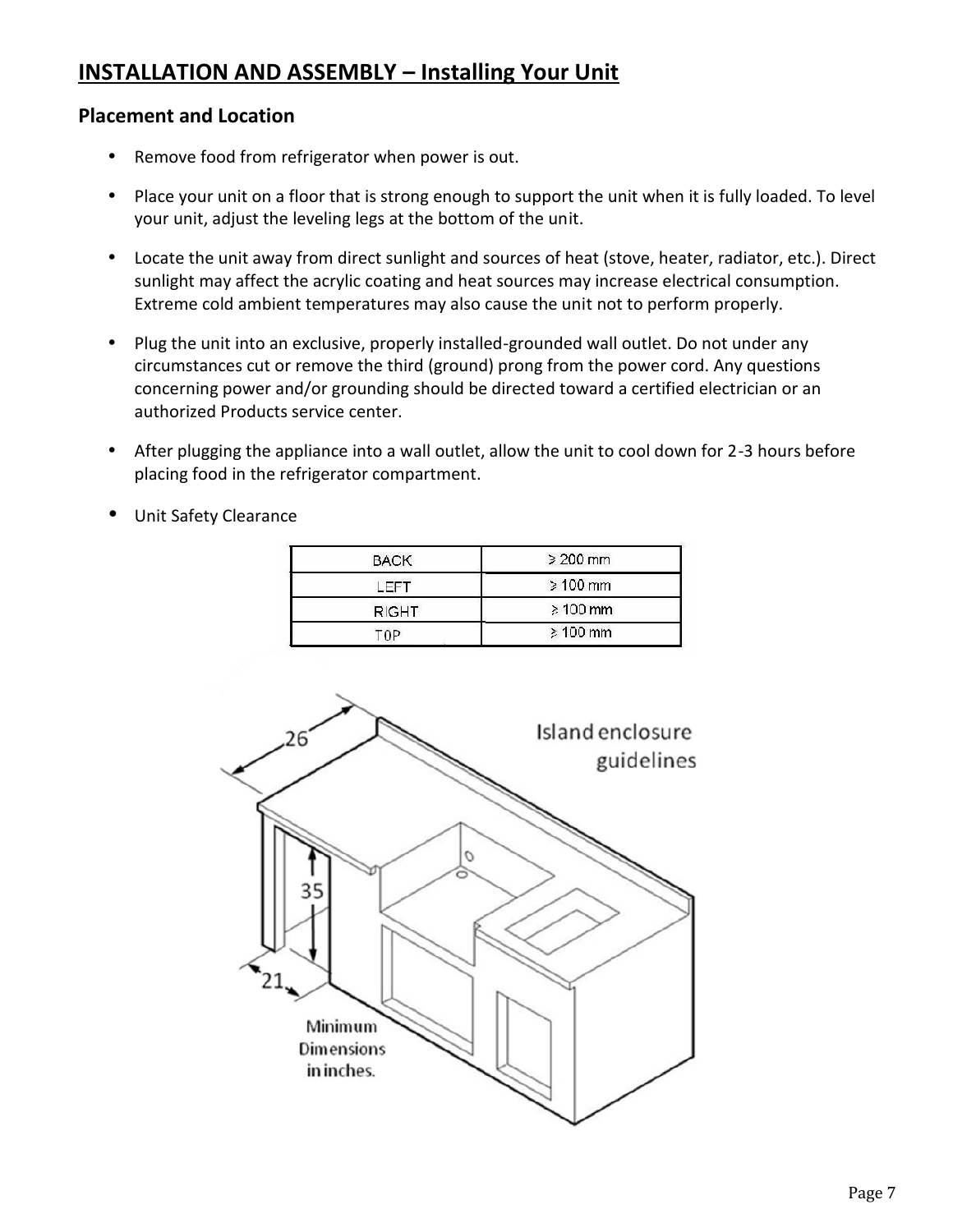# **INSTALLATION AND ASSEMBLY – Installing Your Unit**

# **Placement and Location**

- Remove food from refrigerator when power is out.
- Place your unit on a floor that is strong enough to support the unit when it is fully loaded. To level your unit, adjust the leveling legs at the bottom of the unit.
- Locate the unit away from direct sunlight and sources of heat (stove, heater, radiator, etc.). Direct sunlight may affect the acrylic coating and heat sources may increase electrical consumption. Extreme cold ambient temperatures may also cause the unit not to perform properly.
- Plug the unit into an exclusive, properly installed-grounded wall outlet. Do not under any circumstances cut or remove the third (ground) prong from the power cord. Any questions concerning power and/or grounding should be directed toward a certified electrician or an authorized Products service center.
- After plugging the appliance into a wall outlet, allow the unit to cool down for 2-3 hours before placing food in the refrigerator compartment.
- Unit Safety Clearance

| <b>BACK</b>  | $\geq 200$ mm |
|--------------|---------------|
| <b>FFT</b>   | $\geq 100$ mm |
| <b>RIGHT</b> | $\geq 100$ mm |
| 'NP          | $\geq 100$ mm |

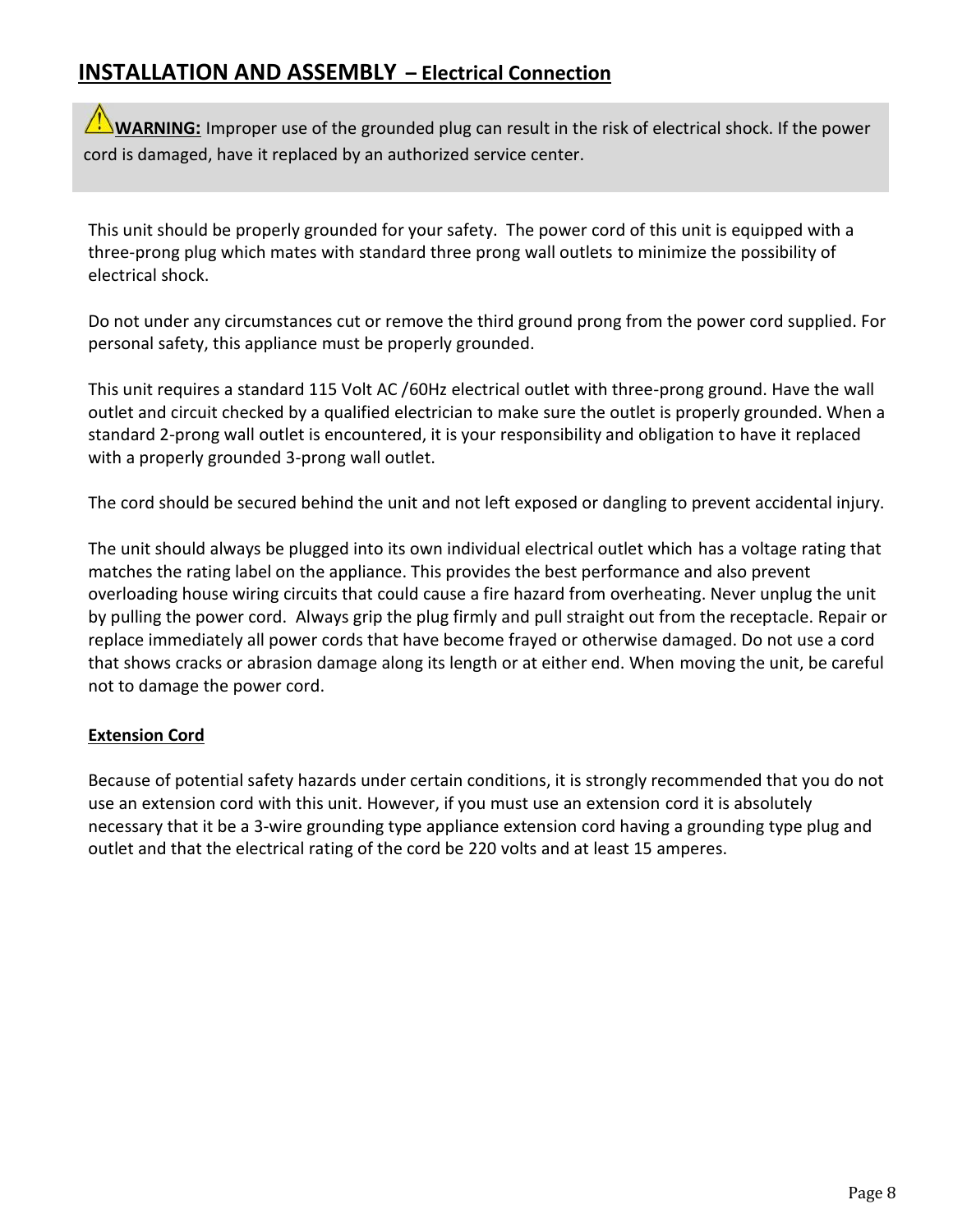# **INSTALLATION AND ASSEMBLY – Electrical Connection**

**WARNING:** Improper use of the grounded plug can result in the risk of electrical shock. If the power cord is damaged, have it replaced by an authorized service center.

This unit should be properly grounded for your safety. The power cord of this unit is equipped with a three-prong plug which mates with standard three prong wall outlets to minimize the possibility of electrical shock.

Do not under any circumstances cut or remove the third ground prong from the power cord supplied. For personal safety, this appliance must be properly grounded.

This unit requires a standard 115 Volt AC /60Hz electrical outlet with three-prong ground. Have the wall outlet and circuit checked by a qualified electrician to make sure the outlet is properly grounded. When a standard 2-prong wall outlet is encountered, it is your responsibility and obligation to have it replaced with a properly grounded 3-prong wall outlet.

The cord should be secured behind the unit and not left exposed or dangling to prevent accidental injury.

overloading house wiring circuits that could cause a fire hazard from overheating. Never unplug the unit The unit should always be plugged into its own individual electrical outlet which has a voltage rating that matches the rating label on the appliance. This provides the best performance and also prevent by pulling the power cord. Always grip the plug firmly and pull straight out from the receptacle. Repair or replace immediately all power cords that have become frayed or otherwise damaged. Do not use a cord that shows cracks or abrasion damage along its length or at either end. When moving the unit, be careful not to damage the power cord.

### **Extension Cord**

Because of potential safety hazards under certain conditions, it is strongly recommended that you do not use an extension cord with this unit. However, if you must use an extension cord it is absolutely necessary that it be a 3-wire grounding type appliance extension cord having a grounding type plug and outlet and that the electrical rating of the cord be 220 volts and at least 15 amperes.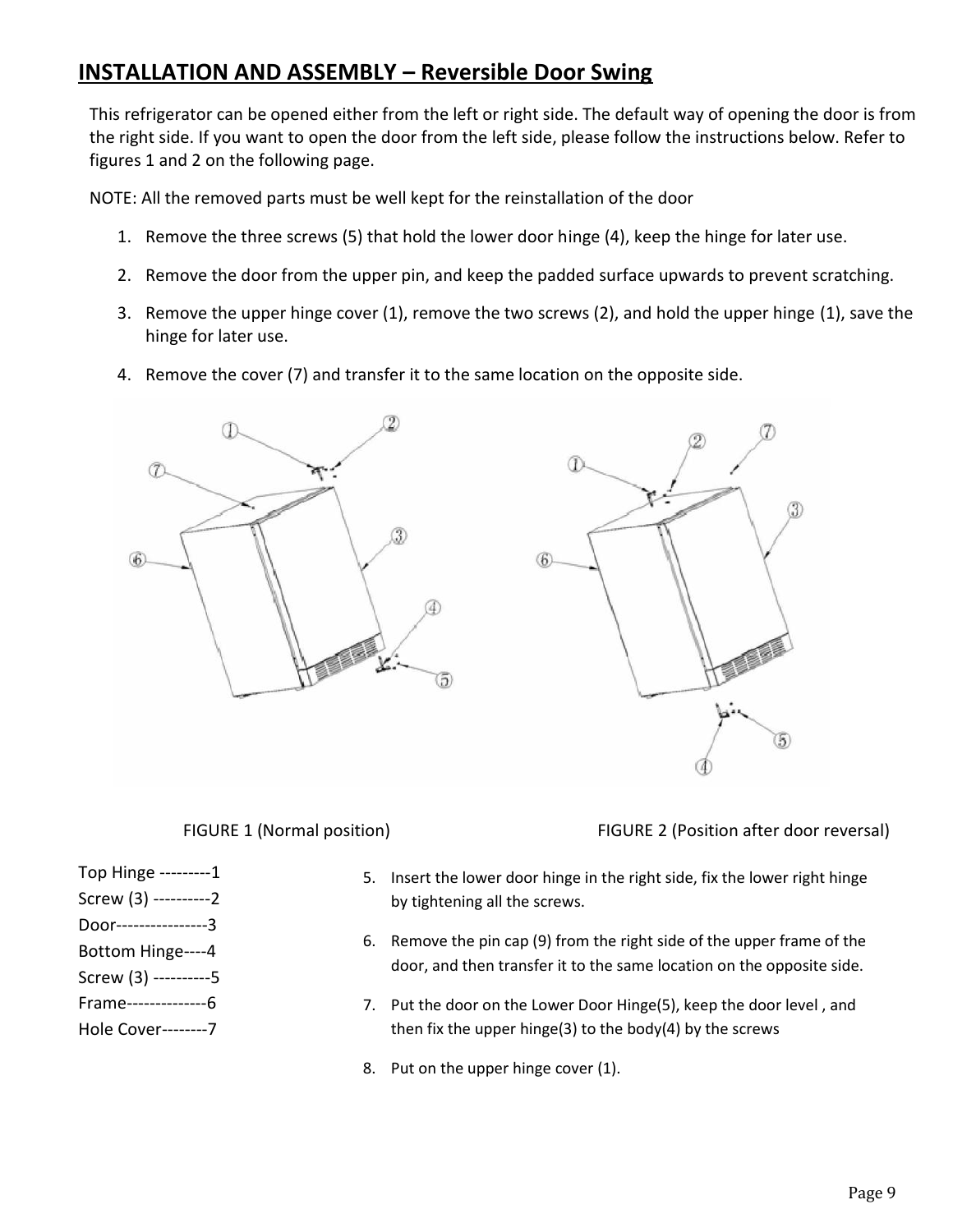# **INSTALLATION AND ASSEMBLY – Reversible Door Swing**

This refrigerator can be opened either from the left or right side. The default way of opening the door is from the right side. If you want to open the door from the left side, please follow the instructions below. Refer to figures 1 and 2 on the following page.

NOTE: All the removed parts must be well kept for the reinstallation of the door

- 1. Remove the three screws (5) that hold the lower door hinge (4), keep the hinge for later use.
- 2. Remove the door from the upper pin, and keep the padded surface upwards to prevent scratching.
- 3. Remove the upper hinge cover (1), remove the two screws (2), and hold the upper hinge (1), save the hinge for later use.
- 4. Remove the cover (7) and transfer it to the same location on the opposite side.



FIGURE 1 (Normal position) FIGURE 2 (Position after door reversal)

- Top Hinge ---------1
- Screw (3) ----------2
- Door----------------3
- Bottom Hinge----4
- Screw (3) ----------5
- Frame--------------6
- Hole Cover--------7
- 5. Insert the lower door hinge in the right side, fix the lower right hinge by tightening all the screws.
- 6. Remove the pin cap (9) from the right side of the upper frame of the door, and then transfer it to the same location on the opposite side.
- 7. Put the door on the Lower Door Hinge(5), keep the door level , and then fix the upper hinge(3) to the body(4) by the screws
- 8. Put on the upper hinge cover (1).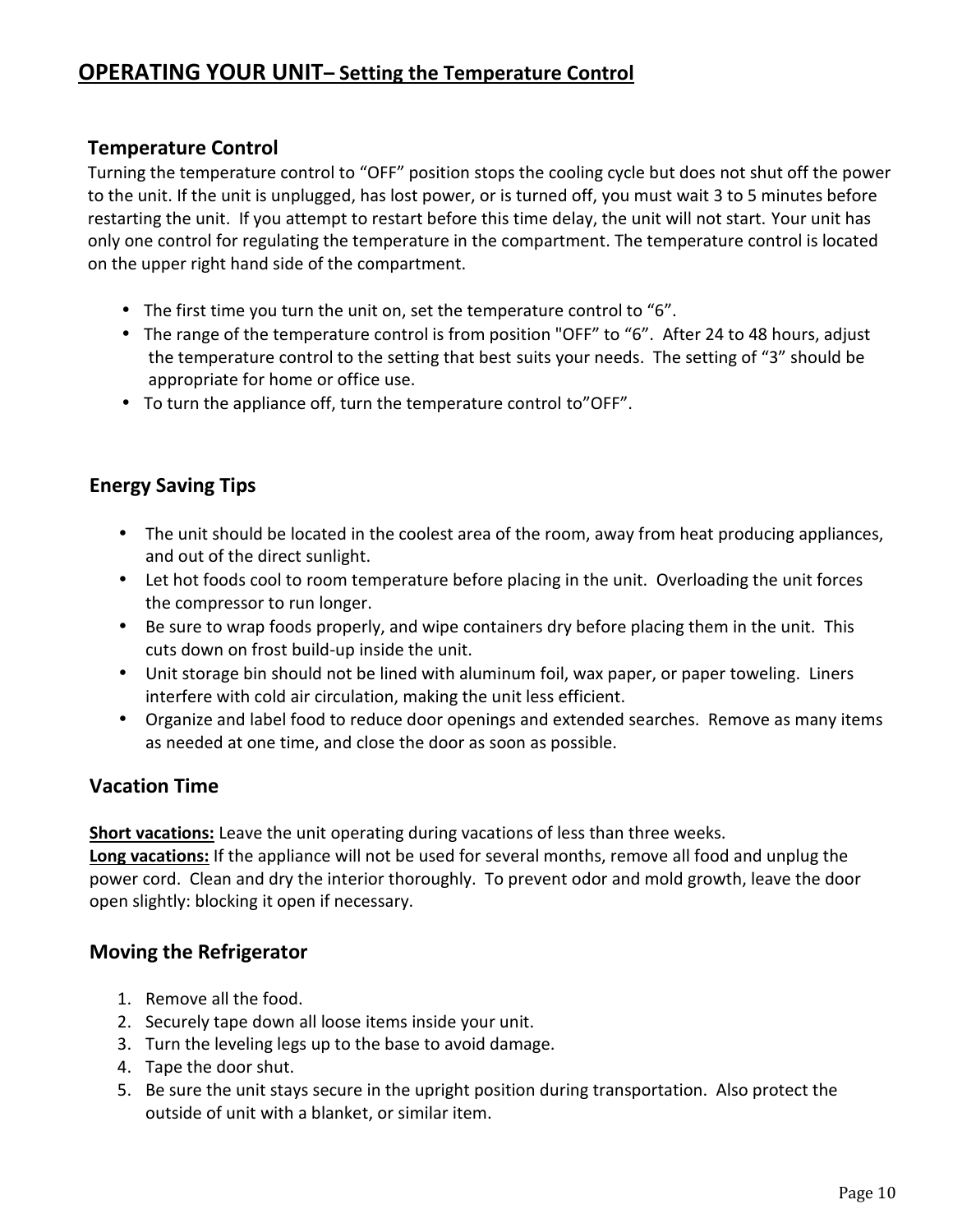# **Temperature Control**

Turning the temperature control to "OFF" position stops the cooling cycle but does not shut off the power to the unit. If the unit is unplugged, has lost power, or is turned off, you must wait 3 to 5 minutes before restarting the unit. If you attempt to restart before this time delay, the unit will not start. Your unit has only one control for regulating the temperature in the compartment. The temperature control is located on the upper right hand side of the compartment.

- The first time you turn the unit on, set the temperature control to "6".
- The range of the temperature control is from position "OFF" to "6". After 24 to 48 hours, adjust the temperature control to the setting that best suits your needs. The setting of "3" should be appropriate for home or office use.
- To turn the appliance off, turn the temperature control to"OFF".

# **Energy Saving Tips**

- The unit should be located in the coolest area of the room, away from heat producing appliances, and out of the direct sunlight.
- Let hot foods cool to room temperature before placing in the unit. Overloading the unit forces the compressor to run longer.
- Be sure to wrap foods properly, and wipe containers dry before placing them in the unit. This cuts down on frost build-up inside the unit.
- Unit storage bin should not be lined with aluminum foil, wax paper, or paper toweling. Liners interfere with cold air circulation, making the unit less efficient.
- Organize and label food to reduce door openings and extended searches. Remove as many items as needed at one time, and close the door as soon as possible.

# **Vacation Time**

**Short vacations:** Leave the unit operating during vacations of less than three weeks.

**Long vacations:** If the appliance will not be used for several months, remove all food and unplug the power cord. Clean and dry the interior thoroughly. To prevent odor and mold growth, leave the door open slightly: blocking it open if necessary.

# **Moving the Refrigerator**

- 1. Remove all the food.
- 2. Securely tape down all loose items inside your unit.
- 3. Turn the leveling legs up to the base to avoid damage.
- 4. Tape the door shut.
- 5. Be sure the unit stays secure in the upright position during transportation. Also protect the outside of unit with a blanket, or similar item.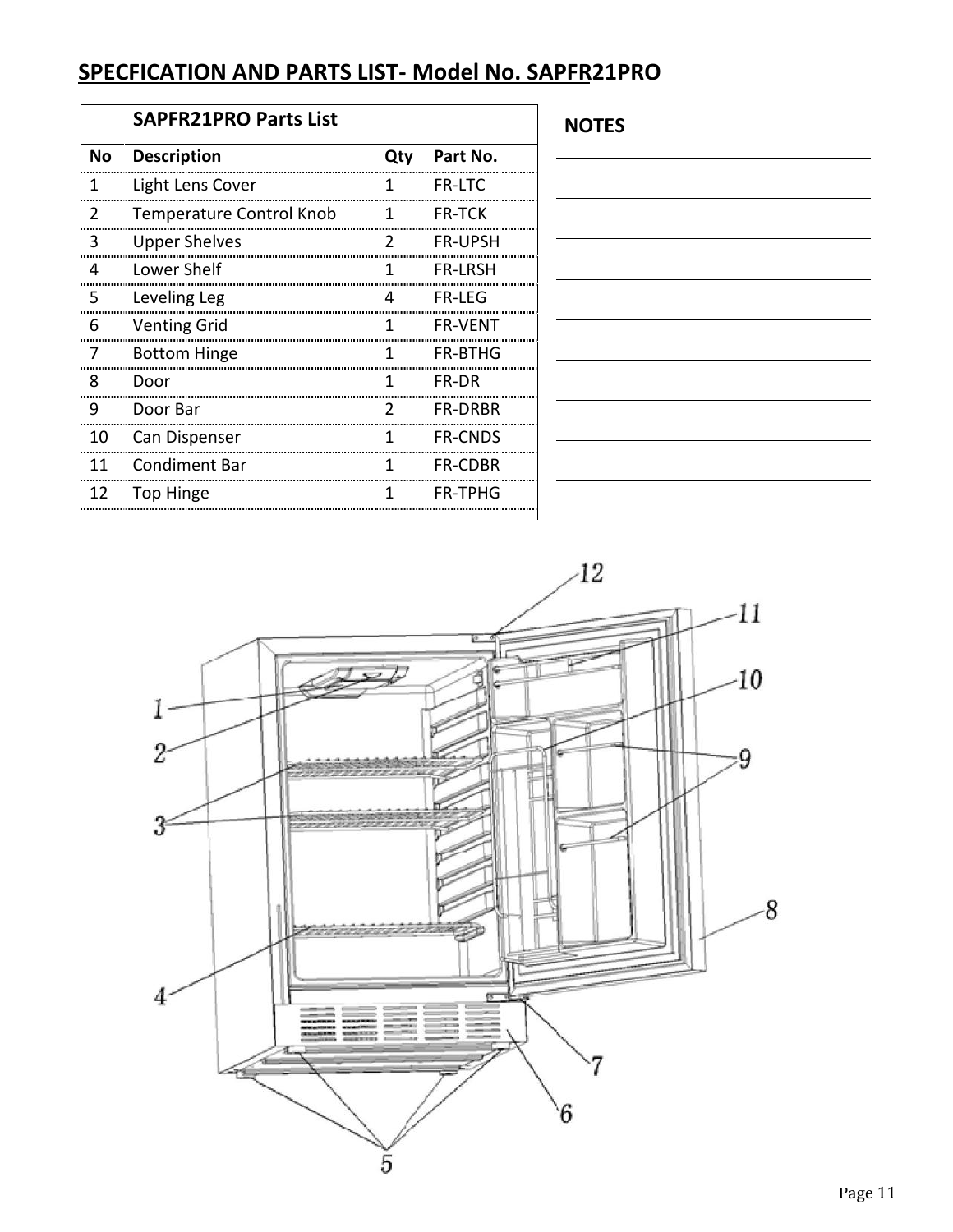# **SPECFICATION AND PARTS LIST- Model No. SAPFR21PRO**

|               | SAPFR21PRO Parts List           |               |                |
|---------------|---------------------------------|---------------|----------------|
| No            | <b>Description</b>              | Qty           | Part No.       |
| 1             | Light Lens Cover                | 1             | <b>FR-LTC</b>  |
| $\mathcal{P}$ | <b>Temperature Control Knob</b> | 1             | <b>FR-TCK</b>  |
| 3             | <b>Upper Shelves</b>            | $\mathcal{P}$ | <b>FR-UPSH</b> |
| 4             | Lower Shelf                     | 1             | <b>FR-LRSH</b> |
| 5             | Leveling Leg                    | 4             | FR-LFG         |
| 6             | <b>Venting Grid</b>             | 1             | <b>FR-VFNT</b> |
| 7             | <b>Bottom Hinge</b>             | 1             | <b>FR-BTHG</b> |
| 8             | Door                            | 1             | FR-DR          |
| 9             | Door Bar                        | $\mathcal{P}$ | <b>FR-DRBR</b> |
| 10            | Can Dispenser                   | 1             | <b>FR-CNDS</b> |
| 11            | <b>Condiment Bar</b>            | 1             | <b>FR-CDBR</b> |
| 12            | Top Hinge                       | 1             | <b>FR-TPHG</b> |

**NOTES**

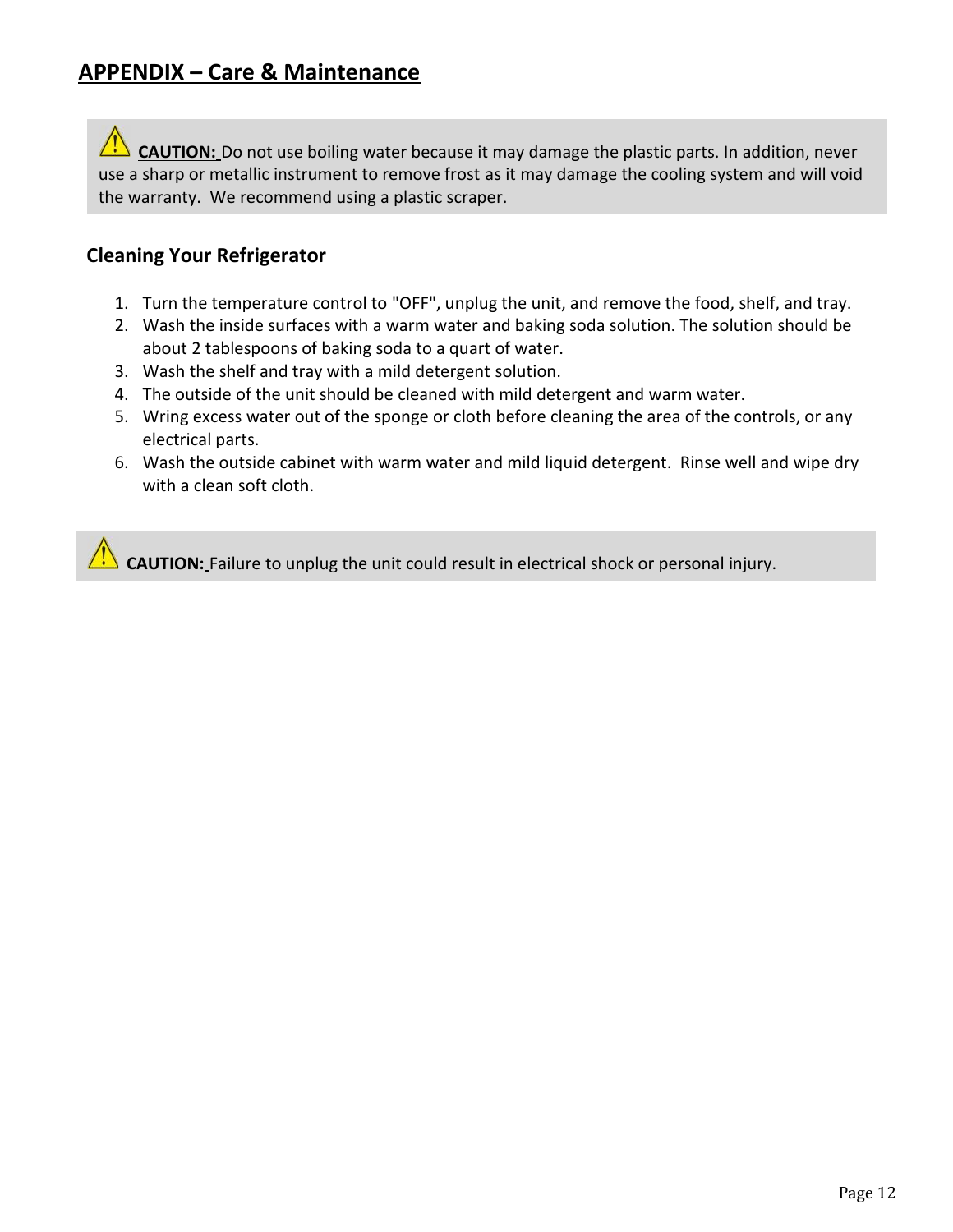**CAUTION:** Do not use boiling water because it may damage the plastic parts. In addition, never use a sharp or metallic instrument to remove frost as it may damage the cooling system and will void the warranty. We recommend using a plastic scraper.

# **Cleaning Your Refrigerator**

- 1. Turn the temperature control to "OFF", unplug the unit, and remove the food, shelf, and tray.
- 2. Wash the inside surfaces with a warm water and baking soda solution. The solution should be about 2 tablespoons of baking soda to a quart of water.
- 3. Wash the shelf and tray with a mild detergent solution.
- 4. The outside of the unit should be cleaned with mild detergent and warm water.
- 5. Wring excess water out of the sponge or cloth before cleaning the area of the controls, or any electrical parts.
- 6. Wash the outside cabinet with warm water and mild liquid detergent. Rinse well and wipe dry with a clean soft cloth.

**CAUTION:** Failure to unplug the unit could result in electrical shock or personal injury.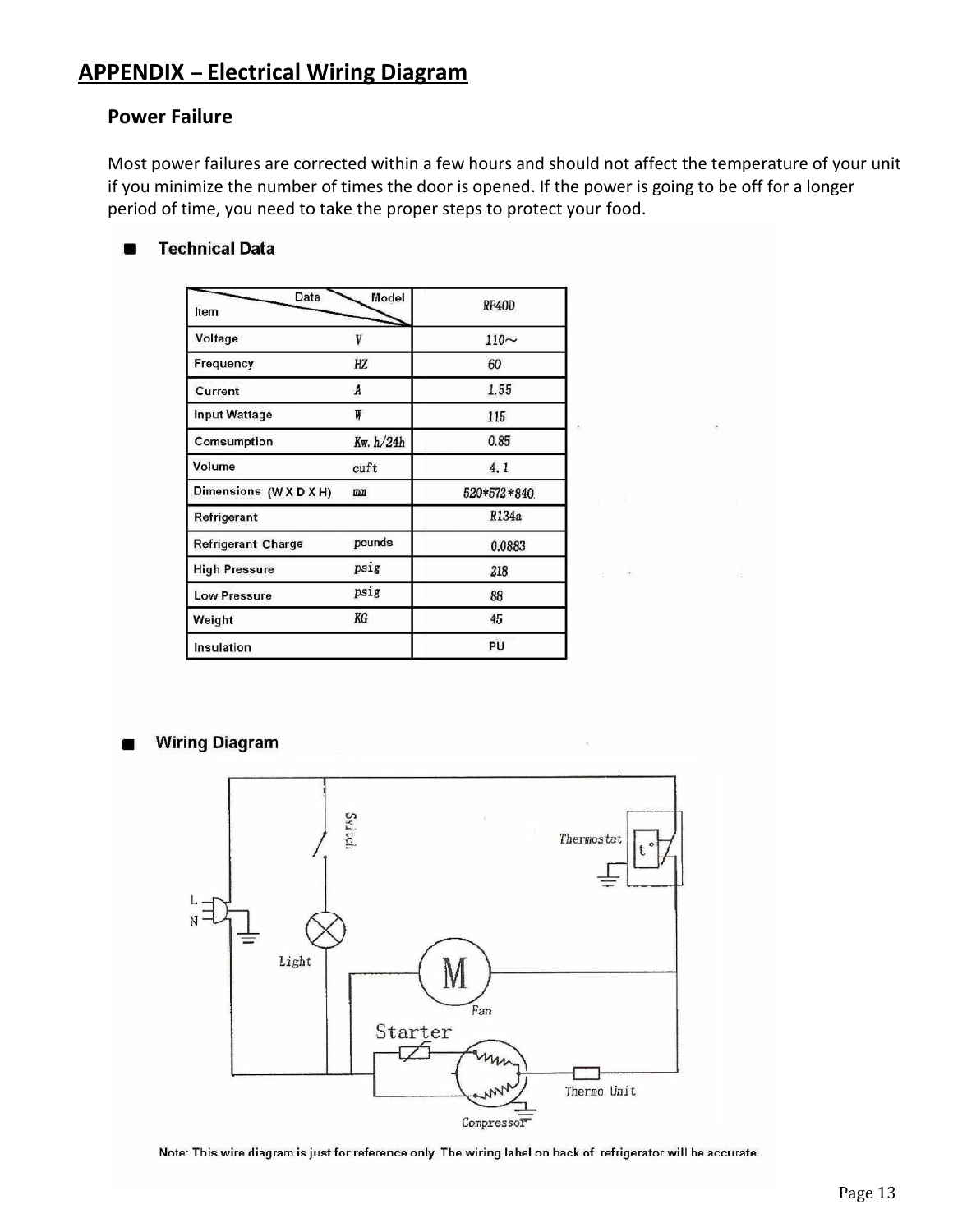# **APPENDIX – Electrical Wiring Diagram**

### **Power Failure**

Most power failures are corrected within a few hours and should not affect the temperature of your unit if you minimize the number of times the door is opened. If the power is going to be off for a longer period of time, you need to take the proper steps to protect your food.

#### **Technical Data**

| Data<br>Item              | Model     | RF40D       |
|---------------------------|-----------|-------------|
| Voltage                   |           | $110 -$     |
| Frequency                 | HZ        | 60          |
| Current                   | A         | 1.55        |
| <b>Input Wattage</b>      | ₩         | 115         |
| Comsumption               | Kw. h/24h | 0.85        |
| Volume                    | cutt      | 4.1         |
| Dimensions (W X D X H)    | mm        | 520*572*840 |
| Refrigerant               |           | R134a       |
| <b>Refrigerant Charge</b> | pounds    | 0.0883      |
| <b>High Pressure</b>      | psig      | 218         |
| <b>Low Pressure</b>       | psig      | 88          |
| Weight                    | KG        | 45          |
| Insulation                |           | PU          |

#### **Wiring Diagram**



Note: This wire diagram is just for reference only. The wiring label on back of refrigerator will be accurate.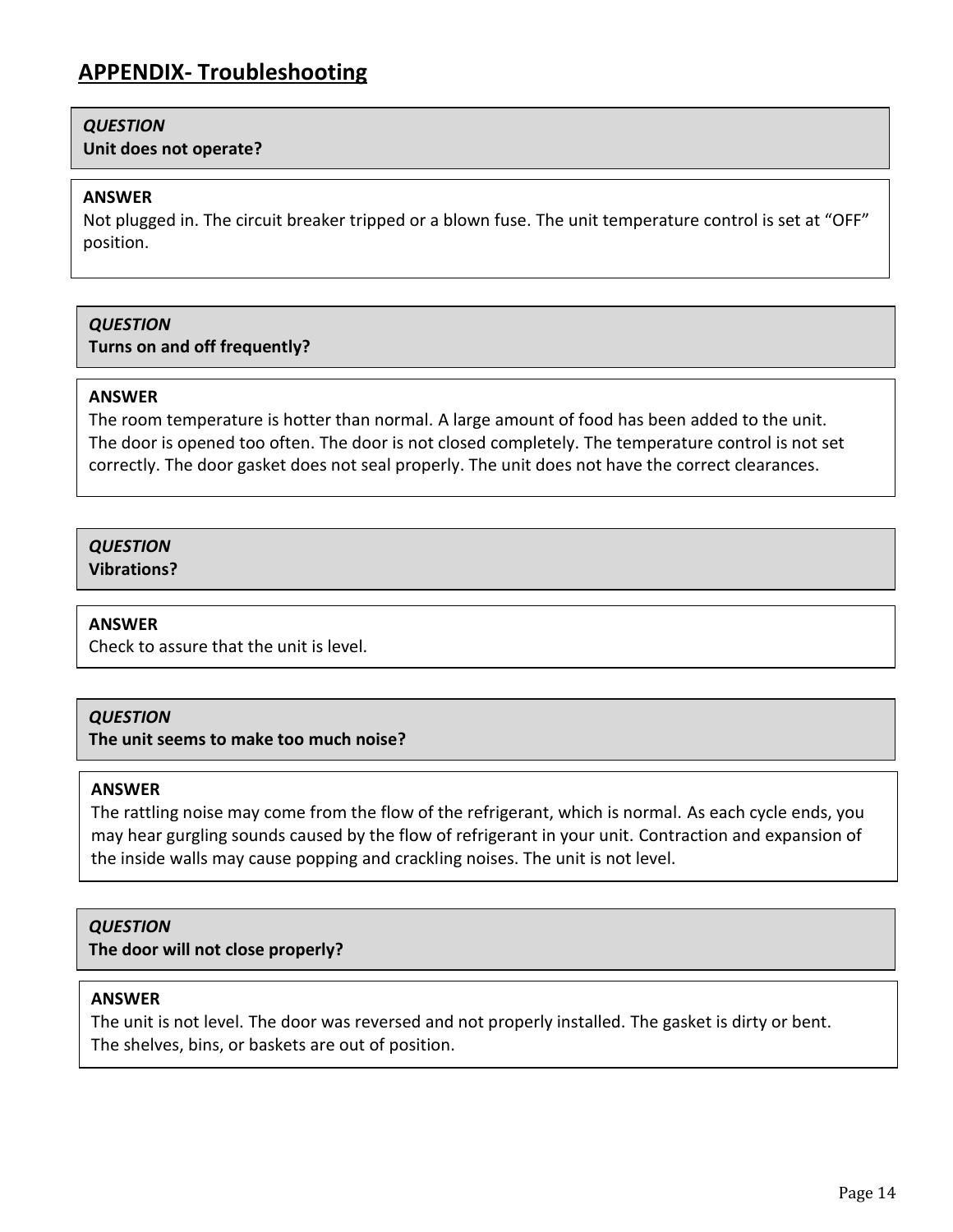### *QUESTION*

**Unit does not operate?**

#### **ANSWER**

Not plugged in. The circuit breaker tripped or a blown fuse. The unit temperature control is set at "OFF" position.

### *QUESTION*

**Turns on and off frequently?**

#### **ANSWER**

The room temperature is hotter than normal. A large amount of food has been added to the unit. The door is opened too often. The door is not closed completely. The temperature control is not set correctly. The door gasket does not seal properly. The unit does not have the correct clearances.

# *QUESTION*

**Vibrations?**

#### **ANSWER**

Check to assure that the unit is level.

### *QUESTION*

**The unit seems to make too much noise?**

#### **ANSWER**

The rattling noise may come from the flow of the refrigerant, which is normal. As each cycle ends, you may hear gurgling sounds caused by the flow of refrigerant in your unit. Contraction and expansion of the inside walls may cause popping and crackling noises. The unit is not level.

### *QUESTION*

**The door will not close properly?**

#### **ANSWER**

The unit is not level. The door was reversed and not properly installed. The gasket is dirty or bent. The shelves, bins, or baskets are out of position.